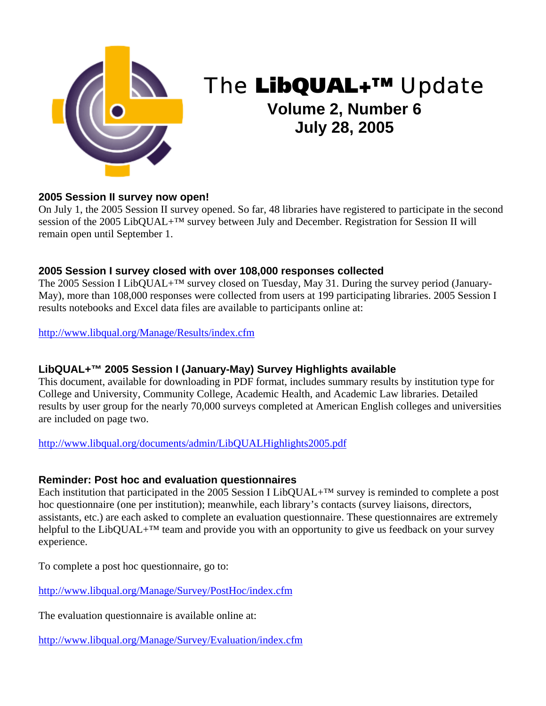

# The LibQUAL+™ Update

# **Volume 2, Number 6 July 28, 2005**

#### **2005 Session II survey now open!**

On July 1, the 2005 Session II survey opened. So far, 48 libraries have registered to participate in the second session of the 2005 LibQUAL+™ survey between July and December. Registration for Session II will remain open until September 1.

# **2005 Session I survey closed with over 108,000 responses collected**

The 2005 Session I LibQUAL+<sup>™</sup> survey closed on Tuesday, May 31. During the survey period (January-May), more than 108,000 responses were collected from users at 199 participating libraries. 2005 Session I results notebooks and Excel data files are available to participants online at:

[http://www.libqual.org/Manage/Results/index.cfm](http://old.libqual.org/Manage/Results/index.cfm)

# **LibQUAL+™ 2005 Session I (January-May) Survey Highlights available**

This document, available for downloading in PDF format, includes summary results by institution type for College and University, Community College, Academic Health, and Academic Law libraries. Detailed results by user group for the nearly 70,000 surveys completed at American English colleges and universities are included on page two.

[http://www.libqual.org/documents/admin/LibQUALHighlights2005.pdf](http://old.libqual.org/documents/admin/LibQUALHighlights2005.pdf) 

#### **Reminder: Post hoc and evaluation questionnaires**

Each institution that participated in the 2005 Session I LibQUAL+™ survey is reminded to complete a post hoc questionnaire (one per institution); meanwhile, each library's contacts (survey liaisons, directors, assistants, etc.) are each asked to complete an evaluation questionnaire. These questionnaires are extremely helpful to the LibQUAL+<sup>™</sup> team and provide you with an opportunity to give us feedback on your survey experience.

To complete a post hoc questionnaire, go to:

[http://www.libqual.org/Manage/Survey/PostHoc/index.cfm](http://old.libqual.org/Manage/Survey/PostHoc/index.cfm)

The evaluation questionnaire is available online at:

[http://www.libqual.org/Manage/Survey/Evaluation/index.cfm](http://old.libqual.org/Manage/Survey/Evaluation/index.cfm)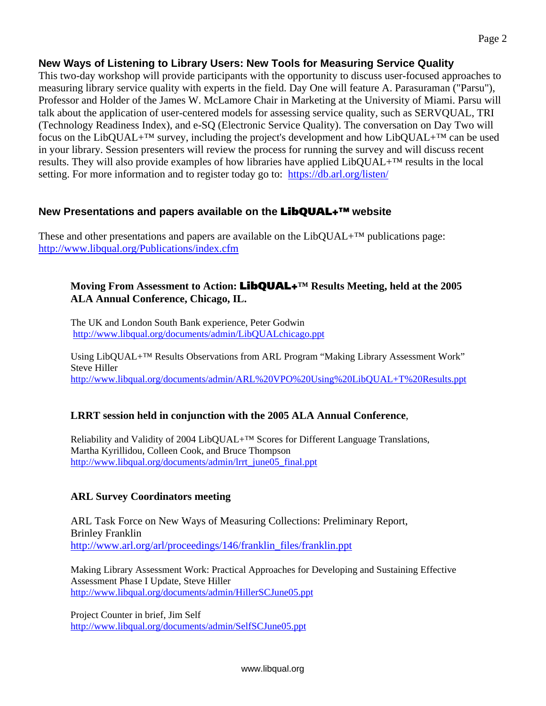# **New Ways of Listening to Library Users: New Tools for Measuring Service Quality**

This two-day workshop will provide participants with the opportunity to discuss user-focused approaches to measuring library service quality with experts in the field. Day One will feature A. Parasuraman ("Parsu"), Professor and Holder of the James W. McLamore Chair in Marketing at the University of Miami. Parsu will talk about the application of user-centered models for assessing service quality, such as SERVQUAL, TRI (Technology Readiness Index), and e-SQ (Electronic Service Quality). The conversation on Day Two will focus on the LibQUAL+<sup>TM</sup> survey, including the project's development and how LibQUAL+<sup>TM</sup> can be used in your library. Session presenters will review the process for running the survey and will discuss recent results. They will also provide examples of how libraries have applied LibQUAL+™ results in the local setting. For more information and to register today go to: <https://db.arl.org/listen/>

## **New Presentations and papers available on the** LibQUAL+™ **website**

These and other presentations and papers are available on the  $LibOUAL+<sup>TM</sup>$  publications page: [http://www.libqual.org/Publications/index.cfm](http://old.libqual.org/Publications/index.cfm) 

#### **Moving From Assessment to Action:** LibQUAL+**™ Results Meeting, held at the 2005 ALA Annual Conference, Chicago, IL.**

The UK and London South Bank experience, Peter Godwin [http://www.libqual.org/documents/admin/LibQUALchicago.ppt](http://old.libqual.org/documents/admin/LibQUALchicago.ppt) 

Using LibQUAL+™ Results Observations from ARL Program "Making Library Assessment Work" Steve Hiller [http://www.libqual.org/documents/admin/ARL%20VPO%20Using%20LibQUAL+T%20Results.ppt](http://old.libqual.org/documents/admin/ARL VPO Using LibQUAL+T Results.ppt)

#### **LRRT session held in conjunction with the 2005 ALA Annual Conference**,

Reliability and Validity of 2004 LibQUAL+™ Scores for Different Language Translations, Martha Kyrillidou, Colleen Cook, and Bruce Thompson [http://www.libqual.org/documents/admin/lrrt\\_june05\\_final.ppt](http://old.libqual.org/documents/admin/lrrt_june05_final.ppt) 

# **ARL Survey Coordinators meeting**

ARL Task Force on New Ways of Measuring Collections: Preliminary Report, Brinley Franklin [http://www.arl.org/arl/proceedings/146/franklin\\_files/franklin.ppt](http://www.arl.org/arl/proceedings/146/franklin_files/franklin.ppt) 

Making Library Assessment Work: Practical Approaches for Developing and Sustaining Effective Assessment Phase I Update, Steve Hiller [http://www.libqual.org/documents/admin/HillerSCJune05.ppt](http://old.libqual.org/documents/admin/HillerSCJune05.ppt)

Project Counter in brief, Jim Self [http://www.libqual.org/documents/admin/SelfSCJune05.ppt](http://old.libqual.org/documents/admin/SelfSCJune05.ppt)